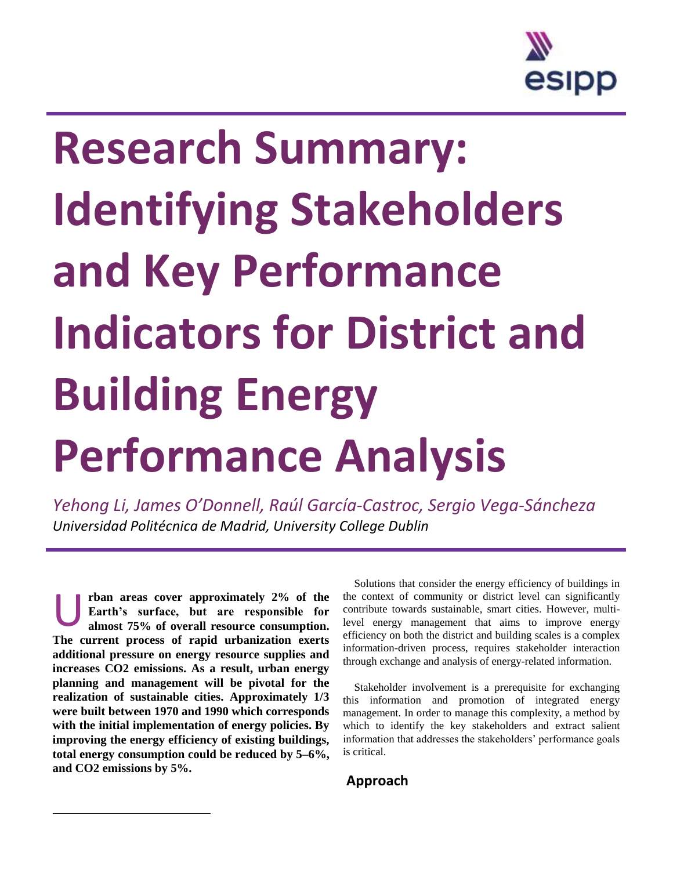

## **Research Summary: Identifying Stakeholders and Key Performance Indicators for District and Building Energy Performance Analysis**

*Yehong Li, James O'Donnell, Raúl García-Castroc, Sergio Vega-Sáncheza Universidad Politécnica de Madrid, University College Dublin*

**rban areas cover approximately 2% of the Earth's surface, but are responsible for almost 75% of overall resource consumption. The current process of rapid urbanization exerts additional pressure on energy resource supplies and increases CO2 emissions. As a result, urban energy planning and management will be pivotal for the realization of sustainable cities. Approximately 1/3 were built between 1970 and 1990 which corresponds with the initial implementation of energy policies. By improving the energy efficiency of existing buildings, total energy consumption could be reduced by 5–6%, and CO2 emissions by 5%.** U<br>"

l

Solutions that consider the energy efficiency of buildings in the context of community or district level can significantly contribute towards sustainable, smart cities. However, multilevel energy management that aims to improve energy efficiency on both the district and building scales is a complex information-driven process, requires stakeholder interaction through exchange and analysis of energy-related information.

Stakeholder involvement is a prerequisite for exchanging this information and promotion of integrated energy management. In order to manage this complexity, a method by which to identify the key stakeholders and extract salient information that addresses the stakeholders' performance goals is critical.

**Approach**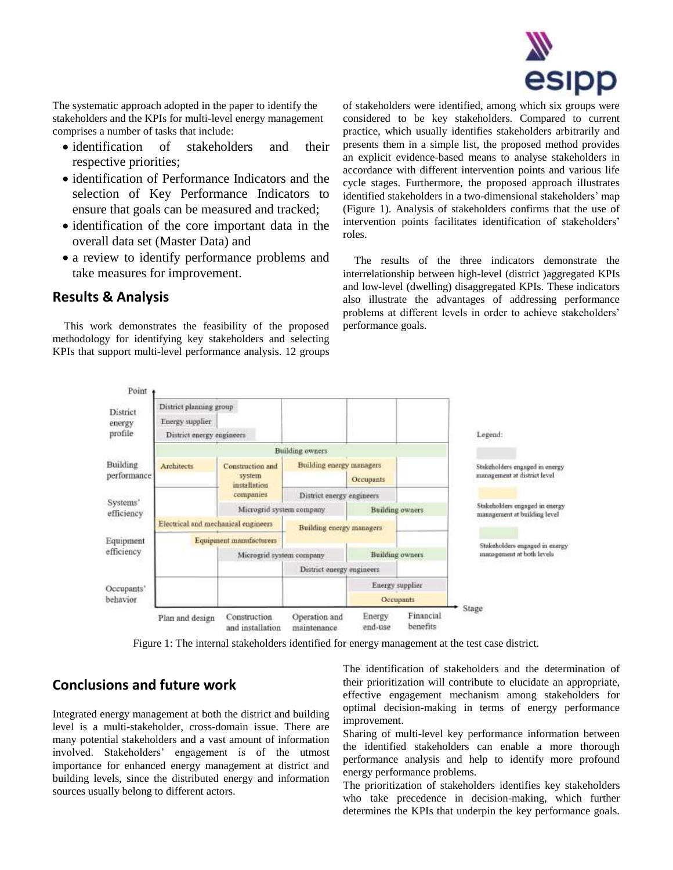

The systematic approach adopted in the paper to identify the stakeholders and the KPIs for multi-level energy management comprises a number of tasks that include:

- identification of stakeholders and their respective priorities;
- identification of Performance Indicators and the selection of Key Performance Indicators to ensure that goals can be measured and tracked;
- identification of the core important data in the overall data set (Master Data) and
- a review to identify performance problems and take measures for improvement.

## **Results & Analysis**

This work demonstrates the feasibility of the proposed methodology for identifying key stakeholders and selecting KPIs that support multi-level performance analysis. 12 groups

of stakeholders were identified, among which six groups were considered to be key stakeholders. Compared to current practice, which usually identifies stakeholders arbitrarily and presents them in a simple list, the proposed method provides an explicit evidence-based means to analyse stakeholders in accordance with different intervention points and various life cycle stages. Furthermore, the proposed approach illustrates identified stakeholders in a two-dimensional stakeholders' map (Figure 1). Analysis of stakeholders confirms that the use of intervention points facilitates identification of stakeholders' roles.

The results of the three indicators demonstrate the interrelationship between high-level (district )aggregated KPIs and low-level (dwelling) disaggregated KPIs. These indicators also illustrate the advantages of addressing performance problems at different levels in order to achieve stakeholders' performance goals.



Figure 1: The internal stakeholders identified for energy management at the test case district.

## **Conclusions and future work**

Integrated energy management at both the district and building level is a multi-stakeholder, cross-domain issue. There are many potential stakeholders and a vast amount of information involved. Stakeholders' engagement is of the utmost importance for enhanced energy management at district and building levels, since the distributed energy and information sources usually belong to different actors.

The identification of stakeholders and the determination of their prioritization will contribute to elucidate an appropriate, effective engagement mechanism among stakeholders for optimal decision-making in terms of energy performance improvement.

Sharing of multi-level key performance information between the identified stakeholders can enable a more thorough performance analysis and help to identify more profound energy performance problems.

The prioritization of stakeholders identifies key stakeholders who take precedence in decision-making, which further determines the KPIs that underpin the key performance goals.